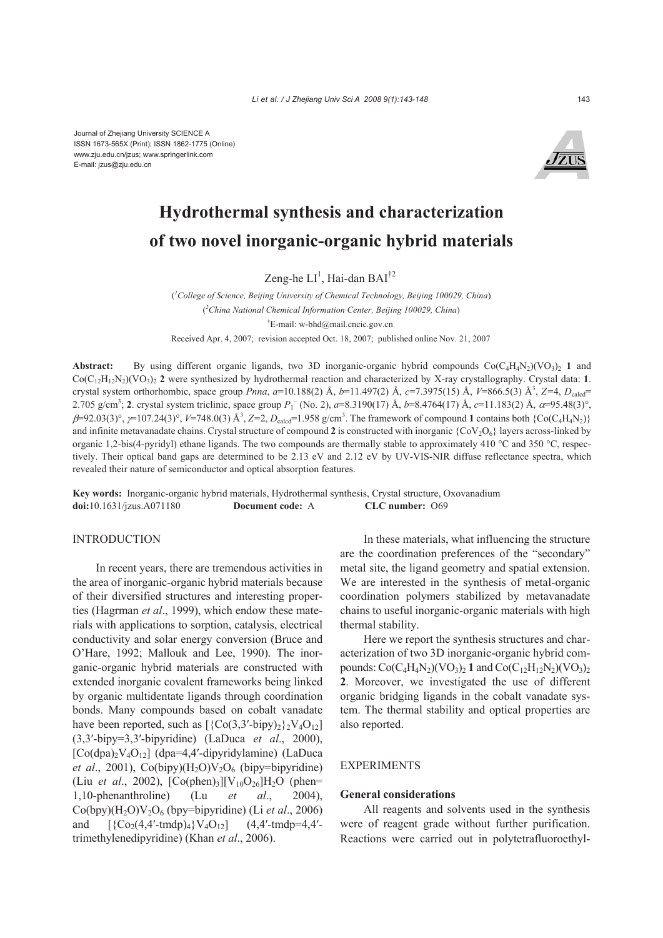Journal of Zhejiang University SCIENCE A ISSN 1673-565X (Print); ISSN 1862-1775 (Online) www.zju.edu.cn/jzus; www.springerlink.com E-mail: jzus@zju.edu.cn



# **Hydrothermal synthesis and characterization of two novel inorganic-organic hybrid materials**

Zeng-he  $LI^1$ , Hai-dan BAI<sup>†2</sup>

( *1 College of Science, Beijing University of Chemical Technology, Beijing 100029, China*) ( *2 China National Chemical Information Center, Beijing 100029, China*) † E-mail: w-bhd@mail.cncic.gov.cn Received Apr. 4, 2007; revision accepted Oct. 18, 2007; published online Nov. 21, 2007

**Abstract:** By using different organic ligands, two 3D inorganic-organic hybrid compounds  $Co(C_4H_4N_2)(VO_3)$  1 and  $Co(C_{12}H_{12}N_2)(VO_3)$  2 were synthesized by hydrothermal reaction and characterized by X-ray crystallography. Crystal data: **1**. crystal system orthorhombic, space group *Pnna*, a=10.188(2) Å, b=11.497(2) Å, c=7.3975(15) Å, V=866.5(3) Å<sup>3</sup>, Z=4, D<sub>calcd</sub>= 2.705 g/cm<sup>3</sup>; **2**. crystal system triclinic, space group  $P_1^-$  (No. 2), a=8.3190(17) Å, b=8.4764(17) Å, c=11.183(2) Å, α=95.48(3)°,  $\beta$ =92.03(3)°,  $\gamma$ =107.24(3)°,  $V$ =748.0(3) Å<sup>3</sup>, *Z*=2, *D*<sub>calcd</sub>=1.958 g/cm<sup>3</sup>. The framework of compound **1** contains both {Co(C<sub>4</sub>H<sub>4</sub>N<sub>2</sub>)} and infinite metavanadate chains. Crystal structure of compound 2 is constructed with inorganic  ${Cov<sub>2</sub>O<sub>6</sub>}$  layers across-linked by organic 1,2-bis(4-pyridyl) ethane ligands. The two compounds are thermally stable to approximately 410 °C and 350 °C, respectively. Their optical band gaps are determined to be 2.13 eV and 2.12 eV by UV-VIS-NIR diffuse reflectance spectra, which revealed their nature of semiconductor and optical absorption features.

**Key words:** Inorganic-organic hybrid materials, Hydrothermal synthesis, Crystal structure, Oxovanadium **doi:**10.1631/jzus.A071180 **Document code:** A **CLC number:** O69

## **INTRODUCTION**

In recent years, there are tremendous activities in the area of inorganic-organic hybrid materials because of their diversified structures and interesting properties (Hagrman *et al*., 1999), which endow these materials with applications to sorption, catalysis, electrical conductivity and solar energy conversion (Bruce and O'Hare, 1992; Mallouk and Lee, 1990). The inorganic-organic hybrid materials are constructed with extended inorganic covalent frameworks being linked by organic multidentate ligands through coordination bonds. Many compounds based on cobalt vanadate have been reported, such as  $[\{Co(3,3'-bipy)_2\}^2V_4O_{12}]$ (3,3′-bipy=3,3′-bipyridine) (LaDuca *et al*., 2000),  $[Co(dpa)_{2}V_{4}O_{12}]$  (dpa=4,4'-dipyridylamine) (LaDuca *et al.*, 2001),  $Co(bipy)(H<sub>2</sub>O)V<sub>2</sub>O<sub>6</sub>$  (bipy=bipyridine) (Liu *et al.*, 2002),  $[Co(phen)_3][V_{10}O_{26}]H_2O$  (phen= 1,10-phenanthroline) (Lu *et al*., 2004), Co(bpy)(H2O)V2O6 (bpy=bipyridine) (Li *et al*., 2006) and  $[\{Co_2(4,4'-tmdp)_4\}V_4O_{12}]$   $(4,4'-tmdp=4,4'-tq)_4$ trimethylenedipyridine) (Khan *et al*., 2006).

In these materials, what influencing the structure are the coordination preferences of the "secondary" metal site, the ligand geometry and spatial extension. We are interested in the synthesis of metal-organic coordination polymers stabilized by metavanadate chains to useful inorganic-organic materials with high thermal stability.

Here we report the synthesis structures and characterization of two 3D inorganic-organic hybrid compounds:  $Co(C_4H_4N_2)(VO_3)_2$  1 and  $Co(C_{12}H_{12}N_2)(VO_3)_2$ **2**. Moreover, we investigated the use of different organic bridging ligands in the cobalt vanadate system. The thermal stability and optical properties are also reported.

# **EXPERIMENTS**

#### **General considerations**

All reagents and solvents used in the synthesis were of reagent grade without further purification. Reactions were carried out in polytetrafluoroethyl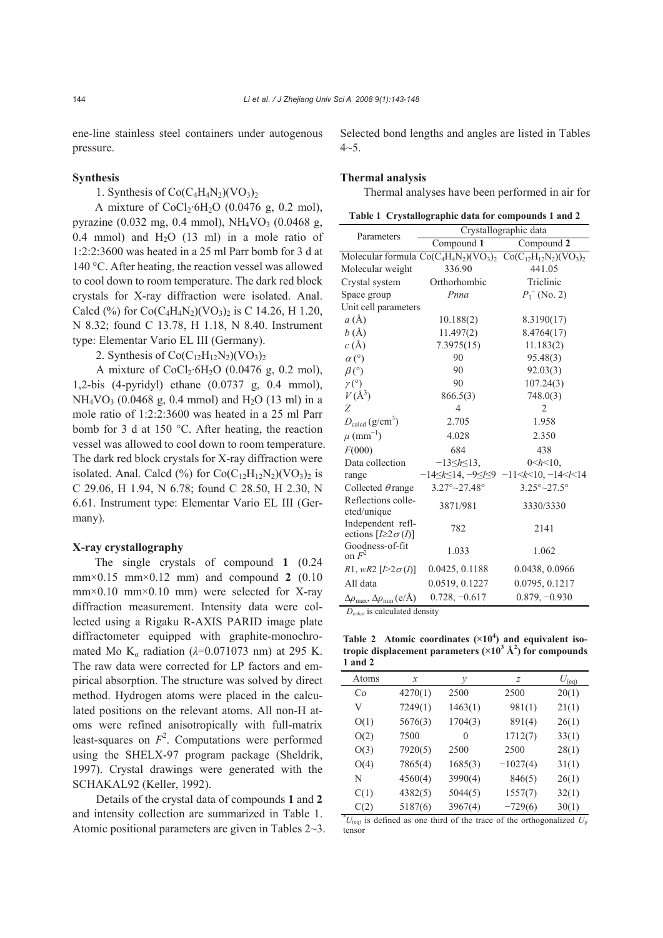ene-line stainless steel containers under autogenous pressure.

## **Synthesis**

1. Synthesis of  $Co(C_4H_4N_2)(VO_3)_2$ 

A mixture of  $CoCl_2·6H_2O$  (0.0476 g, 0.2 mol), pyrazine (0.032 mg, 0.4 mmol),  $NH_4VO_3$  (0.0468 g, 0.4 mmol) and  $H_2O$  (13 ml) in a mole ratio of 1:2:2:3600 was heated in a 25 ml Parr bomb for 3 d at 140 °C. After heating, the reaction vessel was allowed to cool down to room temperature. The dark red block crystals for X-ray diffraction were isolated. Anal. Calcd (%) for  $Co(C_4H_4N_2)(VO_3)_2$  is C 14.26, H 1.20, N 8.32; found C 13.78, H 1.18, N 8.40. Instrument type: Elementar Vario EL III (Germany).

2. Synthesis of  $Co(C_{12}H_{12}N_2)(VO_3)_2$ 

A mixture of  $CoCl_2·6H_2O$  (0.0476 g, 0.2 mol), 1,2-bis (4-pyridyl) ethane (0.0737 g, 0.4 mmol),  $NH_4VO_3$  (0.0468 g, 0.4 mmol) and H<sub>2</sub>O (13 ml) in a mole ratio of 1:2:2:3600 was heated in a 25 ml Parr bomb for 3 d at 150 °C. After heating, the reaction vessel was allowed to cool down to room temperature. The dark red block crystals for X-ray diffraction were isolated. Anal. Calcd  $(\%)$  for Co(C<sub>12</sub>H<sub>12</sub>N<sub>2</sub>)(VO<sub>3</sub>)<sub>2</sub> is C 29.06, H 1.94, N 6.78; found C 28.50, H 2.30, N 6.61. Instrument type: Elementar Vario EL III (Germany).

#### **X-ray crystallography**

The single crystals of compound **1** (0.24 mm×0.15 mm×0.12 mm) and compound **2** (0.10  $mm \times 0.10$  mm $\times 0.10$  mm) were selected for X-ray diffraction measurement. Intensity data were collected using a Rigaku R-AXIS PARID image plate diffractometer equipped with graphite-monochromated Mo K*α* radiation (*λ*=0.071073 nm) at 295 K. The raw data were corrected for LP factors and empirical absorption. The structure was solved by direct method. Hydrogen atoms were placed in the calculated positions on the relevant atoms. All non-H atoms were refined anisotropically with full-matrix least-squares on  $F<sup>2</sup>$ . Computations were performed using the SHELX-97 program package (Sheldrik, 1997). Crystal drawings were generated with the SCHAKAL92 (Keller, 1992).

Details of the crystal data of compounds **1** and **2** and intensity collection are summarized in Table 1. Atomic positional parameters are given in Tables 2~3. Selected bond lengths and angles are listed in Tables  $4 - 5$ .

## **Thermal analysis**

Thermal analyses have been performed in air for

| Table 1 Crystallographic data for compounds 1 and 2 |  |
|-----------------------------------------------------|--|
|                                                     |  |

| Parameters<br>Compound $1$<br>Compound 2<br>Molecular formula $Co(C_4H_4N_2)(VO_3)_2$ $Co(C_{12}H_{12}N_2)(VO_3)_2$<br>336.90<br>441.05<br>Triclinic<br>Orthorhombic<br>Pnna<br>$P_1$ <sup>-</sup> (No. 2)<br>$a(\AA)$<br>10.188(2)<br>8.3190(17)<br>b(A)<br>11.497(2)<br>8.4764(17)<br>c(A)<br>7.3975(15)<br>11.183(2)<br>90<br>95.48(3)<br>$\alpha$ (°)<br>90<br>92.03(3)<br>$\beta$ <sup>(<math>\circ</math></sup> )<br>90<br>107.24(3)<br>$\gamma$ <sup>(°)</sup><br>$V(\AA^3)$<br>748.0(3)<br>866.5(3)<br>Z<br>$\overline{4}$<br>$\overline{2}$<br>$D_{\text{caled}}(g/cm^3)$<br>2.705<br>1.958<br>$\mu$ (mm <sup>-1</sup> )<br>4.028<br>2.350<br>F(000)<br>684<br>438<br>Data collection<br>$-13 \leq h \leq 13$ ,<br>$0 < h < 10$ .<br>$-14 \le k \le 14$ , $-9 \le l \le 9$ $-11 \le k \le 10$ , $-14 \le l \le 14$<br>range<br>$3.27^{\circ}$ ~ 27.48 $^{\circ}$<br>$3.25^{\circ}$ ~ 27.5°<br>Collected $\theta$ range<br>Reflections colle-<br>3871/981<br>3330/3330<br>cted/unique<br>Independent refl-<br>782<br>2141<br>ections $[I \geq 2\sigma(I)]$<br>Goodness-of-fit<br>on $F^2$<br>1.033<br>1.062<br>0.0425, 0.1188<br>0.0438, 0.0966<br>R1, wR2 $[I>2\sigma(I)]$<br>All data<br>0.0519, 0.1227<br>0.0795, 0.1217<br>$0.728, -0.617$<br>$0.879, -0.930$<br>$\Delta\rho_{\text{max}}$ , $\Delta\rho_{\text{min}}$ (e/Å) |                      |                       |  |  |  |  |  |
|------------------------------------------------------------------------------------------------------------------------------------------------------------------------------------------------------------------------------------------------------------------------------------------------------------------------------------------------------------------------------------------------------------------------------------------------------------------------------------------------------------------------------------------------------------------------------------------------------------------------------------------------------------------------------------------------------------------------------------------------------------------------------------------------------------------------------------------------------------------------------------------------------------------------------------------------------------------------------------------------------------------------------------------------------------------------------------------------------------------------------------------------------------------------------------------------------------------------------------------------------------------------------------------------------------------------------------------|----------------------|-----------------------|--|--|--|--|--|
|                                                                                                                                                                                                                                                                                                                                                                                                                                                                                                                                                                                                                                                                                                                                                                                                                                                                                                                                                                                                                                                                                                                                                                                                                                                                                                                                          |                      | Crystallographic data |  |  |  |  |  |
|                                                                                                                                                                                                                                                                                                                                                                                                                                                                                                                                                                                                                                                                                                                                                                                                                                                                                                                                                                                                                                                                                                                                                                                                                                                                                                                                          |                      |                       |  |  |  |  |  |
|                                                                                                                                                                                                                                                                                                                                                                                                                                                                                                                                                                                                                                                                                                                                                                                                                                                                                                                                                                                                                                                                                                                                                                                                                                                                                                                                          |                      |                       |  |  |  |  |  |
|                                                                                                                                                                                                                                                                                                                                                                                                                                                                                                                                                                                                                                                                                                                                                                                                                                                                                                                                                                                                                                                                                                                                                                                                                                                                                                                                          | Molecular weight     |                       |  |  |  |  |  |
|                                                                                                                                                                                                                                                                                                                                                                                                                                                                                                                                                                                                                                                                                                                                                                                                                                                                                                                                                                                                                                                                                                                                                                                                                                                                                                                                          | Crystal system       |                       |  |  |  |  |  |
|                                                                                                                                                                                                                                                                                                                                                                                                                                                                                                                                                                                                                                                                                                                                                                                                                                                                                                                                                                                                                                                                                                                                                                                                                                                                                                                                          | Space group          |                       |  |  |  |  |  |
|                                                                                                                                                                                                                                                                                                                                                                                                                                                                                                                                                                                                                                                                                                                                                                                                                                                                                                                                                                                                                                                                                                                                                                                                                                                                                                                                          | Unit cell parameters |                       |  |  |  |  |  |
|                                                                                                                                                                                                                                                                                                                                                                                                                                                                                                                                                                                                                                                                                                                                                                                                                                                                                                                                                                                                                                                                                                                                                                                                                                                                                                                                          |                      |                       |  |  |  |  |  |
|                                                                                                                                                                                                                                                                                                                                                                                                                                                                                                                                                                                                                                                                                                                                                                                                                                                                                                                                                                                                                                                                                                                                                                                                                                                                                                                                          |                      |                       |  |  |  |  |  |
|                                                                                                                                                                                                                                                                                                                                                                                                                                                                                                                                                                                                                                                                                                                                                                                                                                                                                                                                                                                                                                                                                                                                                                                                                                                                                                                                          |                      |                       |  |  |  |  |  |
|                                                                                                                                                                                                                                                                                                                                                                                                                                                                                                                                                                                                                                                                                                                                                                                                                                                                                                                                                                                                                                                                                                                                                                                                                                                                                                                                          |                      |                       |  |  |  |  |  |
|                                                                                                                                                                                                                                                                                                                                                                                                                                                                                                                                                                                                                                                                                                                                                                                                                                                                                                                                                                                                                                                                                                                                                                                                                                                                                                                                          |                      |                       |  |  |  |  |  |
|                                                                                                                                                                                                                                                                                                                                                                                                                                                                                                                                                                                                                                                                                                                                                                                                                                                                                                                                                                                                                                                                                                                                                                                                                                                                                                                                          |                      |                       |  |  |  |  |  |
|                                                                                                                                                                                                                                                                                                                                                                                                                                                                                                                                                                                                                                                                                                                                                                                                                                                                                                                                                                                                                                                                                                                                                                                                                                                                                                                                          |                      |                       |  |  |  |  |  |
|                                                                                                                                                                                                                                                                                                                                                                                                                                                                                                                                                                                                                                                                                                                                                                                                                                                                                                                                                                                                                                                                                                                                                                                                                                                                                                                                          |                      |                       |  |  |  |  |  |
|                                                                                                                                                                                                                                                                                                                                                                                                                                                                                                                                                                                                                                                                                                                                                                                                                                                                                                                                                                                                                                                                                                                                                                                                                                                                                                                                          |                      |                       |  |  |  |  |  |
|                                                                                                                                                                                                                                                                                                                                                                                                                                                                                                                                                                                                                                                                                                                                                                                                                                                                                                                                                                                                                                                                                                                                                                                                                                                                                                                                          |                      |                       |  |  |  |  |  |
|                                                                                                                                                                                                                                                                                                                                                                                                                                                                                                                                                                                                                                                                                                                                                                                                                                                                                                                                                                                                                                                                                                                                                                                                                                                                                                                                          |                      |                       |  |  |  |  |  |
|                                                                                                                                                                                                                                                                                                                                                                                                                                                                                                                                                                                                                                                                                                                                                                                                                                                                                                                                                                                                                                                                                                                                                                                                                                                                                                                                          |                      |                       |  |  |  |  |  |
|                                                                                                                                                                                                                                                                                                                                                                                                                                                                                                                                                                                                                                                                                                                                                                                                                                                                                                                                                                                                                                                                                                                                                                                                                                                                                                                                          |                      |                       |  |  |  |  |  |
|                                                                                                                                                                                                                                                                                                                                                                                                                                                                                                                                                                                                                                                                                                                                                                                                                                                                                                                                                                                                                                                                                                                                                                                                                                                                                                                                          |                      |                       |  |  |  |  |  |
|                                                                                                                                                                                                                                                                                                                                                                                                                                                                                                                                                                                                                                                                                                                                                                                                                                                                                                                                                                                                                                                                                                                                                                                                                                                                                                                                          |                      |                       |  |  |  |  |  |
|                                                                                                                                                                                                                                                                                                                                                                                                                                                                                                                                                                                                                                                                                                                                                                                                                                                                                                                                                                                                                                                                                                                                                                                                                                                                                                                                          |                      |                       |  |  |  |  |  |
|                                                                                                                                                                                                                                                                                                                                                                                                                                                                                                                                                                                                                                                                                                                                                                                                                                                                                                                                                                                                                                                                                                                                                                                                                                                                                                                                          |                      |                       |  |  |  |  |  |
|                                                                                                                                                                                                                                                                                                                                                                                                                                                                                                                                                                                                                                                                                                                                                                                                                                                                                                                                                                                                                                                                                                                                                                                                                                                                                                                                          |                      |                       |  |  |  |  |  |
|                                                                                                                                                                                                                                                                                                                                                                                                                                                                                                                                                                                                                                                                                                                                                                                                                                                                                                                                                                                                                                                                                                                                                                                                                                                                                                                                          |                      |                       |  |  |  |  |  |
|                                                                                                                                                                                                                                                                                                                                                                                                                                                                                                                                                                                                                                                                                                                                                                                                                                                                                                                                                                                                                                                                                                                                                                                                                                                                                                                                          |                      |                       |  |  |  |  |  |

*D*calcd is calculated density

Table 2 Atomic coordinates ( $\times 10^4$ ) and equivalent isotropic displacement parameters  $(\times 10^3 \text{ Å}^2)$  for compounds **1 and 2**

| Atoms | x       | у       | $\overline{z}$ | $U_{\text{(eq)}}$ |
|-------|---------|---------|----------------|-------------------|
| Co    | 4270(1) | 2500    | 2500           | 20(1)             |
| V     | 7249(1) | 1463(1) | 981(1)         | 21(1)             |
| O(1)  | 5676(3) | 1704(3) | 891(4)         | 26(1)             |
| O(2)  | 7500    | 0       | 1712(7)        | 33(1)             |
| O(3)  | 7920(5) | 2500    | 2500           | 28(1)             |
| O(4)  | 7865(4) | 1685(3) | $-1027(4)$     | 31(1)             |
| N     | 4560(4) | 3990(4) | 846(5)         | 26(1)             |
| C(1)  | 4382(5) | 5044(5) | 1557(7)        | 32(1)             |
| C(2)  | 5187(6) | 3967(4) | $-729(6)$      | 30(1)             |

 $^*U_{(eq)}$  is defined as one third of the trace of the orthogonalized  $U_{ij}$ tensor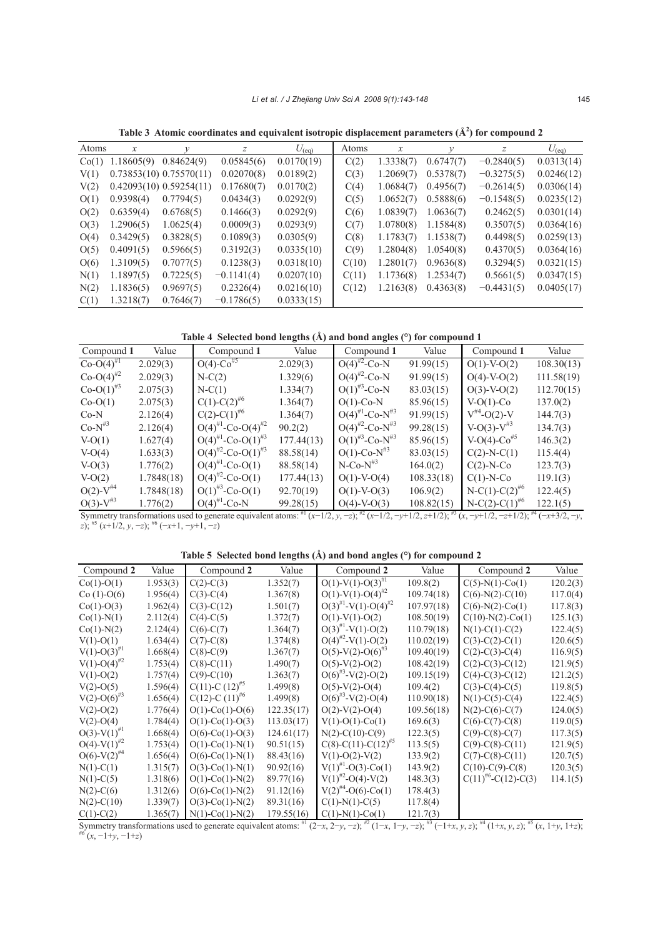Table 3 Atomic coordinates and equivalent isotropic displacement parameters  $(A^2)$  for compound 2

|       | Table & Twomic coordinates and equivalent isotropic displacement parameters (ix ) for compound 2 |                         |              |                   |       |           |           |              |                   |
|-------|--------------------------------------------------------------------------------------------------|-------------------------|--------------|-------------------|-------|-----------|-----------|--------------|-------------------|
| Atoms | x                                                                                                | ν                       | z            | $U_{\text{(eq)}}$ | Atoms | x         |           | z            | $U_{\text{(eq)}}$ |
| Co(1) | 1.18605(9)                                                                                       | 0.84624(9)              | 0.05845(6)   | 0.0170(19)        | C(2)  | 1.3338(7) | 0.6747(7) | $-0.2840(5)$ | 0.0313(14)        |
| V(1)  |                                                                                                  | 0.73853(10) 0.75570(11) | 0.02070(8)   | 0.0189(2)         | C(3)  | 1.2069(7) | 0.5378(7) | $-0.3275(5)$ | 0.0246(12)        |
| V(2)  |                                                                                                  | 0.42093(10) 0.59254(11) | 0.17680(7)   | 0.0170(2)         | C(4)  | 1.0684(7) | 0.4956(7) | $-0.2614(5)$ | 0.0306(14)        |
| O(1)  | 0.9398(4)                                                                                        | 0.7794(5)               | 0.0434(3)    | 0.0292(9)         | C(5)  | 1.0652(7) | 0.5888(6) | $-0.1548(5)$ | 0.0235(12)        |
| O(2)  | 0.6359(4)                                                                                        | 0.6768(5)               | 0.1466(3)    | 0.0292(9)         | C(6)  | 1.0839(7) | 1.0636(7) | 0.2462(5)    | 0.0301(14)        |
| O(3)  | 1.2906(5)                                                                                        | 1.0625(4)               | 0.0009(3)    | 0.0293(9)         | C(7)  | 1.0780(8) | 1.1584(8) | 0.3507(5)    | 0.0364(16)        |
| O(4)  | 0.3429(5)                                                                                        | 0.3828(5)               | 0.1089(3)    | 0.0305(9)         | C(8)  | 1.1783(7) | 1.1538(7) | 0.4498(5)    | 0.0259(13)        |
| O(5)  | 0.4091(5)                                                                                        | 0.5966(5)               | 0.3192(3)    | 0.0335(10)        | C(9)  | 1.2804(8) | 1.0540(8) | 0.4370(5)    | 0.0364(16)        |
| O(6)  | 1.3109(5)                                                                                        | 0.7077(5)               | 0.1238(3)    | 0.0318(10)        | C(10) | 1.2801(7) | 0.9636(8) | 0.3294(5)    | 0.0321(15)        |
| N(1)  | 1.1897(5)                                                                                        | 0.7225(5)               | $-0.1141(4)$ | 0.0207(10)        | C(11) | 1.1736(8) | 1.2534(7) | 0.5661(5)    | 0.0347(15)        |
| N(2)  | 1.1836(5)                                                                                        | 0.9697(5)               | 0.2326(4)    | 0.0216(10)        | C(12) | 1.2163(8) | 0.4363(8) | $-0.4431(5)$ | 0.0405(17)        |
| C(1)  | 1.3218(7)                                                                                        | 0.7646(7)               | $-0.1786(5)$ | 0.0333(15)        |       |           |           |              |                   |

**Table 4 Selected bond lengths (Å) and bond angles (°) for compound 1** 

| Compound 1              | Value      | Compound 1                         | Value      | Compound 1                      | Value      | Compound 1                  | Value      |
|-------------------------|------------|------------------------------------|------------|---------------------------------|------------|-----------------------------|------------|
| $Co-O(4)^{\#1}$         | 2.029(3)   | $O(4)$ -Co <sup>#5</sup>           | 2.029(3)   | $O(4)^{#2}$ -Co-N               | 91.99(15)  | $O(1)-V-O(2)$               | 108.30(13) |
| $Co-O(4)^{#2}$          | 2.029(3)   | $N-C(2)$                           | 1.329(6)   | $O(4)^{#2}$ -Co-N               | 91.99(15)  | $O(4)$ -V- $O(2)$           | 111.58(19) |
| $Co-O(1)^{#3}$          | 2.075(3)   | $N-C(1)$                           | 1.334(7)   | $O(1)^{#3}$ -Co-N               | 83.03(15)  | $O(3)-V-O(2)$               | 112.70(15) |
| $Co-O(1)$               | 2.075(3)   | $C(1)$ -C(2) <sup>#6</sup>         | 1.364(7)   | $O(1)$ -Co-N                    | 85.96(15)  | $V-O(1)-Co$                 | 137.0(2)   |
| $Co-N$                  | 2.126(4)   | $C(2)$ -C(1) <sup>#6</sup>         | 1.364(7)   | $O(4)^{#1}$ -Co-N <sup>#3</sup> | 91.99(15)  | $V^{\#4}$ -O(2)-V           | 144.7(3)   |
| $Co-N^{\#3}$            | 2.126(4)   | $O(4)^{#1}$ -Co-O(4) <sup>#2</sup> | 90.2(2)    | $O(4)^{#2}$ -Co-N <sup>#3</sup> | 99.28(15)  | $V-O(3)-V^{\#3}$            | 134.7(3)   |
| $V-O(1)$                | 1.627(4)   | $O(4)^{#1}$ -Co-O(1) <sup>#3</sup> | 177.44(13) | $O(1)^{#3}$ -Co-N <sup>#3</sup> | 85.96(15)  | $V-O(4)-Co^{#5}$            | 146.3(2)   |
| $V-O(4)$                | 1.633(3)   | $O(4)^{H2}$ -Co-O(1) <sup>#3</sup> | 88.58(14)  | $O(1)$ -Co-N <sup>#3</sup>      | 83.03(15)  | $C(2)-N-C(1)$               | 115.4(4)   |
| $V-O(3)$                | 1.776(2)   | $O(4)^{#1}$ -Co-O(1)               | 88.58(14)  | $N$ -Co- $N^{\#3}$              | 164.0(2)   | $C(2)-N-Co$                 | 123.7(3)   |
| $V-O(2)$                | 1.7848(18) | $O(4)^{2}$ -Co-O(1)                | 177.44(13) | $O(1)-V-O(4)$                   | 108.33(18) | $C(1)-N-Co$                 | 119.1(3)   |
| $O(2)$ -V <sup>#4</sup> | 1.7848(18) | $O(1)^{#3}$ -Co-O(1)               | 92.70(19)  | $O(1)-V-O(3)$                   | 106.9(2)   | $N-C(1)-C(2)^{#6}$          | 122.4(5)   |
| $O(3)-V^{#3}$           | 1.776(2)   | $O(4)^{#1}$ -Co-N                  | 99.28(15)  | $O(4)$ -V- $O(3)$               | 108.82(15) | $N-C(2)-C(1)$ <sup>#6</sup> | 122.1(5)   |

Symmetry transformations used to generate equivalent atoms:  ${}^{#1}(x-1/2, y, -z); {}^{#2}(x-1/2, -y+1/2, z+1/2); {}^{#3}(x, -y+1/2, -z+1/2); {}^{#4}(-x+3/2, -y,$ *z*); #5 (*x*+1/2, *y*, −*z*); #6 (−*x*+1, −*y*+1, −*z*)

# **Table 5 Selected bond lengths (Å) and bond angles (°) for compound 2**

| Compound 2                 | Value    | Compound 2                 | Value      | Compound 2                           | Value      | Compound 2           | Value    |
|----------------------------|----------|----------------------------|------------|--------------------------------------|------------|----------------------|----------|
| $Co(1)-O(1)$               | 1.953(3) | $C(2)-C(3)$                | 1.352(7)   | $O(1)-V(1)-O(3)^{\#1}$               | 109.8(2)   | $C(5)-N(1)-Co(1)$    | 120.2(3) |
| $Co(1)-O(6)$               | 1.956(4) | $C(3)-C(4)$                | 1.367(8)   | $O(1)-V(1)-O(4)^{H2}$                | 109.74(18) | $C(6)-N(2)-C(10)$    | 117.0(4) |
| $Co(1)-O(3)$               | 1.962(4) | $C(3)-C(12)$               | 1.501(7)   | $O(3)^{#1}$ -V(1)-O(4) <sup>#2</sup> | 107.97(18) | $C(6)-N(2)-C0(1)$    | 117.8(3) |
| $Co(1)-N(1)$               | 2.112(4) | $C(4)-C(5)$                | 1.372(7)   | $O(1)-V(1)-O(2)$                     | 108.50(19) | $C(10)-N(2)-C0(1)$   | 125.1(3) |
| $Co(1)-N(2)$               | 2.124(4) | $C(6)-C(7)$                | 1.364(7)   | $O(3)^{#1}$ -V(1)-O(2)               | 110.79(18) | $N(1)-C(1)-C(2)$     | 122.4(5) |
| $V(1)-O(1)$                | 1.634(4) | $C(7)-C(8)$                | 1.374(8)   | $O(4)^{H2}$ -V(1)-O(2)               | 110.02(19) | $C(3)-C(2)-C(1)$     | 120.6(5) |
| $V(1)-O(3)^{#1}$           | 1.668(4) | $C(8)$ - $C(9)$            | 1.367(7)   | $O(5)-V(2)-O(6)^{#3}$                | 109.40(19) | $C(2)-C(3)-C(4)$     | 116.9(5) |
| $V(1)-O(4)^{H2}$           | 1.753(4) | $C(8)-C(11)$               | 1.490(7)   | $O(5)-V(2)-O(2)$                     | 108.42(19) | $C(2)$ -C(3)-C(12)   | 121.9(5) |
| $V(1)-O(2)$                | 1.757(4) | $C(9) - C(10)$             | 1.363(7)   | $O(6)^{#3}$ -V(2)-O(2)               | 109.15(19) | $C(4)-C(3)-C(12)$    | 121.2(5) |
| $V(2)-O(5)$                | 1.596(4) | $C(11)-C(12)^{#5}$         | 1.499(8)   | $O(5)-V(2)-O(4)$                     | 109.4(2)   | $C(3)-C(4)-C(5)$     | 119.8(5) |
| $V(2)-O(6)^{#3}$           | 1.656(4) | C(12)-C (11) <sup>#6</sup> | 1.499(8)   | $O(6)^{#3}$ -V(2)-O(4)               | 110.90(18) | $N(1)-C(5)-C(4)$     | 122.4(5) |
| $V(2)-O(2)$                | 1.776(4) | $O(1)$ -Co(1)-O(6)         | 122.35(17) | $O(2)-V(2)-O(4)$                     | 109.56(18) | $N(2)$ -C(6)-C(7)    | 124.0(5) |
| $V(2)-O(4)$                | 1.784(4) | $O(1)$ -Co $(1)$ -O $(3)$  | 113.03(17) | $V(1)-O(1)-Co(1)$                    | 169.6(3)   | $C(6)-C(7)-C(8)$     | 119.0(5) |
| $O(3)-V(1)^{#1}$           | 1.668(4) | $O(6)$ -Co(1)-O(3)         | 124.61(17) | $N(2)$ -C(10)-C(9)                   | 122.3(5)   | $C(9)$ -C(8)-C(7)    | 117.3(5) |
| $O(4)-V(1)^{H2}$           | 1.753(4) | $O(1)$ -Co(1)-N(1)         | 90.51(15)  | $C(8)$ -C(11)-C(12) <sup>#5</sup>    | 113.5(5)   | $C(9)$ -C(8)-C(11)   | 121.9(5) |
| $O(6)$ -V(2) <sup>#4</sup> | 1.656(4) | $O(6)$ -Co(1)-N(1)         | 88.43(16)  | $V(1)-O(2)-V(2)$                     | 133.9(2)   | $C(7)$ -C(8)-C(11)   | 120.7(5) |
| $N(1)-C(1)$                | 1.315(7) | $O(3)$ -Co(1)-N(1)         | 90.92(16)  | $V(1)^{H}$ -O(3)-Co(1)               | 143.9(2)   | $C(10)-C(9)-C(8)$    | 120.3(5) |
| $N(1)-C(5)$                | 1.318(6) | $O(1)$ -Co(1)-N(2)         | 89.77(16)  | $V(1)^{#2}$ -O(4)-V(2)               | 148.3(3)   | $C(11)#6-C(12)-C(3)$ | 114.1(5) |
| $N(2)-C(6)$                | 1.312(6) | $O(6)$ -Co(1)-N(2)         | 91.12(16)  | $V(2)$ <sup>#4</sup> -O(6)-Co(1)     | 178.4(3)   |                      |          |
| $N(2) - C(10)$             | 1.339(7) | $O(3)$ -Co(1)-N(2)         | 89.31(16)  | $C(1)-N(1)-C(5)$                     | 117.8(4)   |                      |          |
| $C(1)-C(2)$                | 1.365(7) | $N(1)-C0(1)-N(2)$          | 179.55(16) | $C(1)$ -N(1)-Co(1)                   | 121.7(3)   |                      |          |

Symmetry transformations used to generate equivalent atoms:  $^{*1}$  (2-x, 2-y, -z);  $^{*2}$  (1-x, 1-y, -z);  $^{*3}$  (-1+x, y, z);  $^{*4}$  (1+x, y, z);  $^{*5}$  (x, 1+y, 1+z); #6 (*x*, −1+*y*, −1+*z*)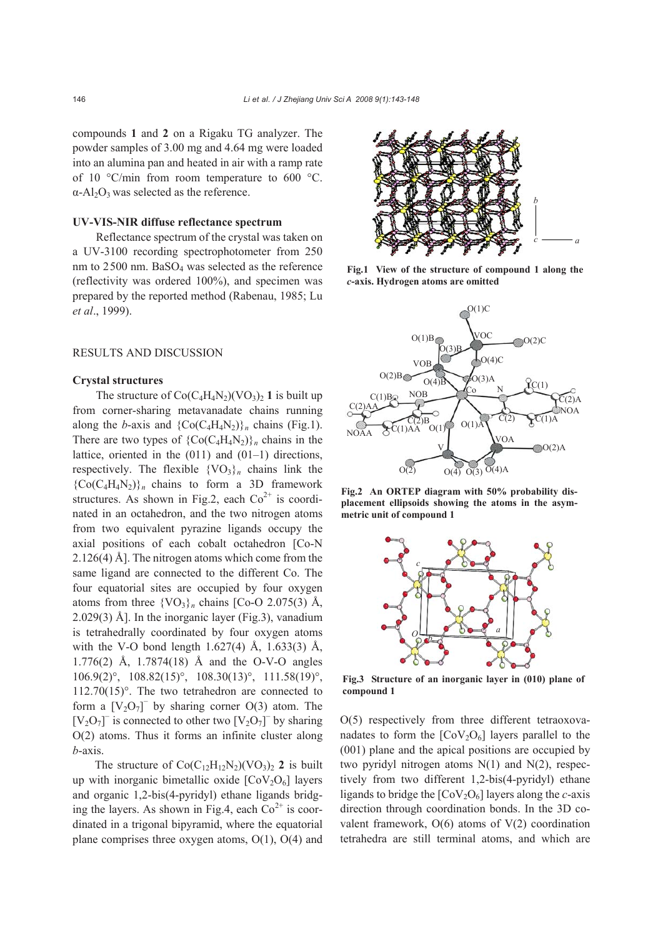compounds **1** and **2** on a Rigaku TG analyzer. The powder samples of 3.00 mg and 4.64 mg were loaded into an alumina pan and heated in air with a ramp rate of 10 °C/min from room temperature to 600 °C.  $\alpha$ -Al<sub>2</sub>O<sub>3</sub> was selected as the reference.

# **UV-VIS-NIR diffuse reflectance spectrum**

Reflectance spectrum of the crystal was taken on a UV-3100 recording spectrophotometer from 250 nm to 2500 nm. BaSO<sub>4</sub> was selected as the reference (reflectivity was ordered 100%), and specimen was prepared by the reported method (Rabenau, 1985; Lu *et al*., 1999).

## RESULTS AND DISCUSSION

#### **Crystal structures**

The structure of  $Co(C_4H_4N_2)(VO_3)_2$  1 is built up from corner-sharing metavanadate chains running along the *b*-axis and  ${CO(C_4H_4N_2)}_n$  chains (Fig.1). There are two types of  ${CO(C_4H_4N_2)}_n$  chains in the lattice, oriented in the (011) and (01–1) directions, respectively. The flexible  $\{VO_3\}_n$  chains link the  ${C_0(C_4H_4N_2)}$ <sub>n</sub> chains to form a 3D framework structures. As shown in Fig.2, each  $Co<sup>2+</sup>$  is coordinated in an octahedron, and the two nitrogen atoms from two equivalent pyrazine ligands occupy the axial positions of each cobalt octahedron [Co-N 2.126(4) Å]. The nitrogen atoms which come from the same ligand are connected to the different Co. The four equatorial sites are occupied by four oxygen atoms from three  $\{VO_3\}_n$  chains  $[Co-O 2.075(3)$  Å, 2.029(3) Å]. In the inorganic layer (Fig.3), vanadium is tetrahedrally coordinated by four oxygen atoms with the V-O bond length 1.627(4) Å, 1.633(3) Å, 1.776(2) Å, 1.7874(18) Å and the O-V-O angles 106.9(2)°, 108.82(15)°, 108.30(13)°, 111.58(19)°, 112.70(15)°. The two tetrahedron are connected to form a  $[V_2O_7]$ <sup>-</sup> by sharing corner O(3) atom. The [V<sub>2</sub>O<sub>7</sub>]<sup> $-$ </sup> is connected to other two [V<sub>2</sub>O<sub>7</sub>]<sup> $-$ </sup> by sharing O(2) atoms. Thus it forms an infinite cluster along *b*-axis.

The structure of  $Co(C_{12}H_{12}N_2)(VO_3)_2$  2 is built up with inorganic bimetallic oxide  $[CoV<sub>2</sub>O<sub>6</sub>]$  layers and organic 1,2-bis(4-pyridyl) ethane ligands bridging the layers. As shown in Fig.4, each  $Co<sup>2+</sup>$  is coordinated in a trigonal bipyramid, where the equatorial plane comprises three oxygen atoms, O(1), O(4) and



**Fig.1 View of the structure of compound 1 along the**  *c***-axis. Hydrogen atoms are omitted** 



**Fig.2 An ORTEP diagram with 50% probability displacement ellipsoids showing the atoms in the asymmetric unit of compound 1** 



**Fig.3 Structure of an inorganic layer in (010) plane of compound 1** 

O(5) respectively from three different tetraoxovanadates to form the  $[CoV<sub>2</sub>O<sub>6</sub>]$  layers parallel to the (001) plane and the apical positions are occupied by two pyridyl nitrogen atoms N(1) and N(2), respectively from two different 1,2-bis(4-pyridyl) ethane ligands to bridge the  $[CoV<sub>2</sub>O<sub>6</sub>]$  layers along the *c*-axis direction through coordination bonds. In the 3D covalent framework, O(6) atoms of V(2) coordination tetrahedra are still terminal atoms, and which are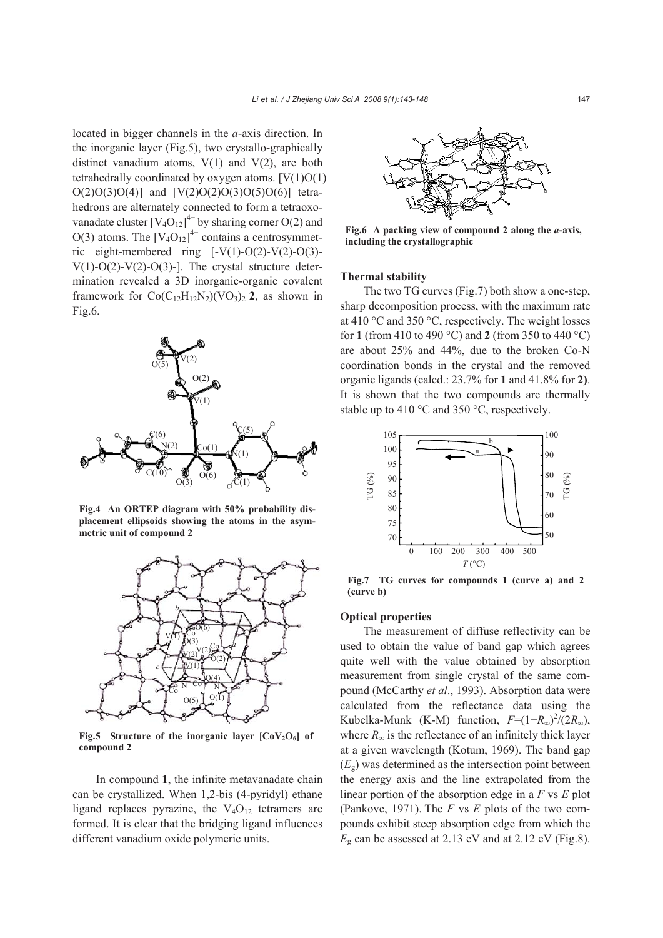located in bigger channels in the *a*-axis direction. In the inorganic layer (Fig.5), two crystallo-graphically distinct vanadium atoms,  $V(1)$  and  $V(2)$ , are both tetrahedrally coordinated by oxygen atoms.  $[V(1)O(1)]$  $O(2)O(3)O(4)$ ] and  $[V(2)O(2)O(3)O(5)O(6)]$  tetrahedrons are alternately connected to form a tetraoxovanadate cluster  $[V_4O_{12}]^4$  by sharing corner O(2) and  $O(3)$  atoms. The  $[V_4O_{12}]^{4-}$  contains a centrosymmetric eight-membered ring [-V(1)-O(2)-V(2)-O(3)- V(1)-O(2)-V(2)-O(3)-]. The crystal structure determination revealed a 3D inorganic-organic covalent framework for  $Co(C_{12}H_{12}N_2)(VO_3)_2$  **2**, as shown in Fig.6.



**Fig.4 An ORTEP diagram with 50% probability displacement ellipsoids showing the atoms in the asymmetric unit of compound 2** 



Fig.5 Structure of the inorganic layer [CoV<sub>2</sub>O<sub>6</sub>] of **compound 2** 

In compound **1**, the infinite metavanadate chain can be crystallized. When 1,2-bis (4-pyridyl) ethane ligand replaces pyrazine, the  $V_4O_{12}$  tetramers are formed. It is clear that the bridging ligand influences different vanadium oxide polymeric units.



**Fig.6 A packing view of compound 2 along the** *a***-axis, including the crystallographic** 

## **Thermal stability**

The two TG curves (Fig.7) both show a one-step, sharp decomposition process, with the maximum rate at 410 °C and 350 °C, respectively. The weight losses for **1** (from 410 to 490 °C) and **2** (from 350 to 440 °C) are about 25% and 44%, due to the broken Co-N coordination bonds in the crystal and the removed organic ligands (calcd.: 23.7% for **1** and 41.8% for **2)**. It is shown that the two compounds are thermally stable up to 410 °C and 350 °C, respectively.



**Fig.7 TG curves for compounds 1 (curve a) and 2 (curve b)** 

## **Optical properties**

The measurement of diffuse reflectivity can be used to obtain the value of band gap which agrees quite well with the value obtained by absorption measurement from single crystal of the same compound (McCarthy *et al*., 1993). Absorption data were calculated from the reflectance data using the Kubelka-Munk (K-M) function,  $F=(1-R_{\infty})^2/(2R_{\infty})$ , where  $R_{\infty}$  is the reflectance of an infinitely thick layer at a given wavelength (Kotum, 1969). The band gap  $(E_{\rm g})$  was determined as the intersection point between the energy axis and the line extrapolated from the linear portion of the absorption edge in a *F* vs *E* plot (Pankove, 1971). The *F* vs *E* plots of the two compounds exhibit steep absorption edge from which the  $E<sub>g</sub>$  can be assessed at 2.13 eV and at 2.12 eV (Fig.8).